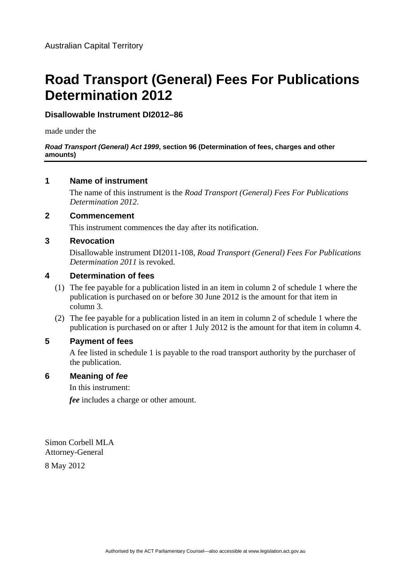# **Road Transport (General) Fees For Publications Determination 2012**

## **Disallowable Instrument DI2012–86**

made under the

#### *Road Transport (General) Act 1999***, section 96 (Determination of fees, charges and other amounts)**

### **1 Name of instrument**

The name of this instrument is the *Road Transport (General) Fees For Publications Determination 2012*.

### **2 Commencement**

This instrument commences the day after its notification.

## **3 Revocation**

Disallowable instrument DI2011-108, *Road Transport (General) Fees For Publications Determination 2011* is revoked.

## **4 Determination of fees**

- (1) The fee payable for a publication listed in an item in column 2 of schedule 1 where the publication is purchased on or before 30 June 2012 is the amount for that item in column 3.
- (2) The fee payable for a publication listed in an item in column 2 of schedule 1 where the publication is purchased on or after 1 July 2012 is the amount for that item in column 4.

## **5 Payment of fees**

A fee listed in schedule 1 is payable to the road transport authority by the purchaser of the publication.

### **6 Meaning of** *fee*

In this instrument:

*fee* includes a charge or other amount.

Simon Corbell MLA Attorney-General

8 May 2012